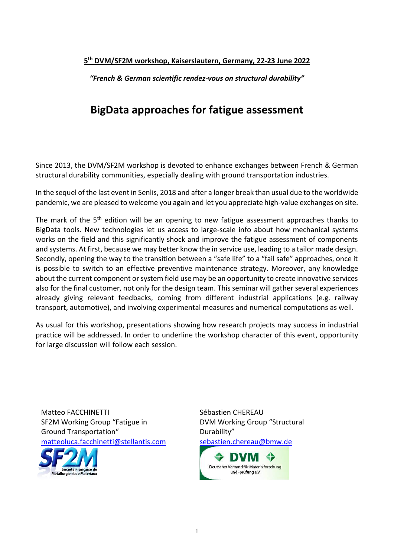## **5 th DVM/SF2M workshop, Kaiserslautern, Germany, 22-23 June 2022**

*"French & German scientific rendez-vous on structural durability"*

# **BigData approaches for fatigue assessment**

Since 2013, the DVM/SF2M workshop is devoted to enhance exchanges between French & German structural durability communities, especially dealing with ground transportation industries.

In the sequel of the last event in Senlis, 2018 and after a longer break than usual due to the worldwide pandemic, we are pleased to welcome you again and let you appreciate high-value exchanges on site.

The mark of the 5<sup>th</sup> edition will be an opening to new fatigue assessment approaches thanks to BigData tools. New technologies let us access to large-scale info about how mechanical systems works on the field and this significantly shock and improve the fatigue assessment of components and systems. At first, because we may better know the in service use, leading to a tailor made design. Secondly, opening the way to the transition between a "safe life" to a "fail safe" approaches, once it is possible to switch to an effective preventive maintenance strategy. Moreover, any knowledge about the current component or system field use may be an opportunity to create innovative services also for the final customer, not only for the design team. This seminar will gather several experiences already giving relevant feedbacks, coming from different industrial applications (e.g. railway transport, automotive), and involving experimental measures and numerical computations as well.

As usual for this workshop, presentations showing how research projects may success in industrial practice will be addressed. In order to underline the workshop character of this event, opportunity for large discussion will follow each session.

Matteo FACCHINETTI Sébastien CHEREAU SF2M Working Group "Fatigue in DVM Working Group "Structural Ground Transportation" Channel Durability"



[matteoluca.facchinetti@stellantis.com](mailto:matteoluca.facchinetti@stellantis.com) [sebastien.chereau@bmw.de](mailto:sebastien.chereau@bmw.de)

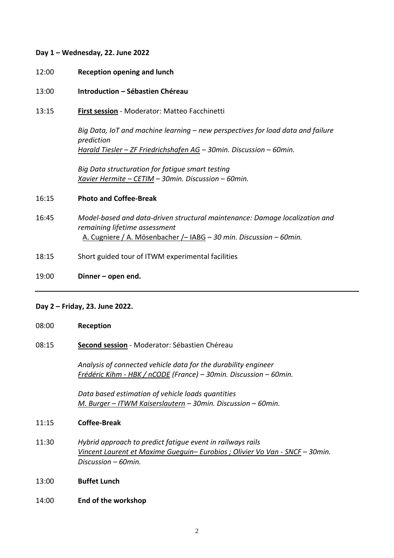## **Day 1 – Wednesday, 22. June 2022**

- 12:00 **Reception opening and lunch**
- 13:00 **Introduction – Sébastien Chéreau**
- 13:15 **First session** Moderator: Matteo Facchinetti

*Big Data, IoT and machine learning – new perspectives for load data and failure prediction Harald Tiesler – ZF Friedrichshafen AG – 30min. Discussion – 60min.*

*Big Data structuration for fatigue smart testing Xavier Hermite – CETIM – 30min. Discussion – 60min.*

### 16:15 **Photo and Coffee-Break**

- 16:45 *Model-based and data-driven structural maintenance: Damage localization and remaining lifetime assessment* A. Cugniere / A. Mösenbacher /– IABG – *30 min. Discussion – 60min.*
- 18:15 Short guided tour of ITWM experimental facilities
- 19:00 **Dinner – open end.**

### **Day 2 – Friday, 23. June 2022.**

08:00 **Reception**

## 08:15 **Second session** - Moderator: Sébastien Chéreau

*Analysis of connected vehicle data for the durability engineer Frédéric Kihm - HBK / nCODE (France) – 30min. Discussion – 60min.*

*Data based estimation of vehicle loads quantities M. Burger – ITWM Kaiserslautern – 30min. Discussion – 60min.*

#### 11:15 **Coffee-Break**

- 11:30 *Hybrid approach to predict fatigue event in railways rails Vincent Laurent et Maxime Gueguin– Eurobios ; Olivier Vo Van - SNCF – 30min. Discussion – 60min.*
- 13:00 **Buffet Lunch**
- 14:00 **End of the workshop**